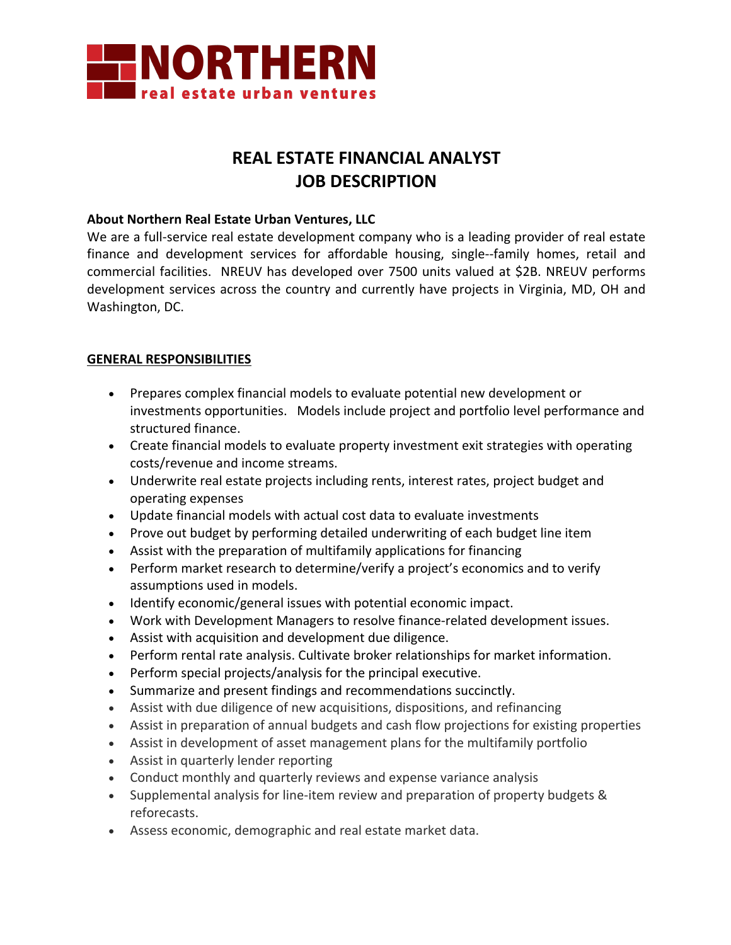

# **REAL ESTATE FINANCIAL ANALYST JOB DESCRIPTION**

#### **About Northern Real Estate Urban Ventures, LLC**

We are a full-service real estate development company who is a leading provider of real estate finance and development services for affordable housing, single--family homes, retail and commercial facilities. NREUV has developed over 7500 units valued at \$2B. NREUV performs development services across the country and currently have projects in Virginia, MD, OH and Washington, DC.

### **GENERAL RESPONSIBILITIES**

- Prepares complex financial models to evaluate potential new development or investments opportunities. Models include project and portfolio level performance and structured finance.
- Create financial models to evaluate property investment exit strategies with operating costs/revenue and income streams.
- Underwrite real estate projects including rents, interest rates, project budget and operating expenses
- Update financial models with actual cost data to evaluate investments
- Prove out budget by performing detailed underwriting of each budget line item
- Assist with the preparation of multifamily applications for financing
- Perform market research to determine/verify a project's economics and to verify assumptions used in models.
- Identify economic/general issues with potential economic impact.
- Work with Development Managers to resolve finance-related development issues.
- Assist with acquisition and development due diligence.
- Perform rental rate analysis. Cultivate broker relationships for market information.
- Perform special projects/analysis for the principal executive.
- Summarize and present findings and recommendations succinctly.
- Assist with due diligence of new acquisitions, dispositions, and refinancing
- Assist in preparation of annual budgets and cash flow projections for existing properties
- Assist in development of asset management plans for the multifamily portfolio
- Assist in quarterly lender reporting
- Conduct monthly and quarterly reviews and expense variance analysis
- Supplemental analysis for line-item review and preparation of property budgets & reforecasts.
- Assess economic, demographic and real estate market data.